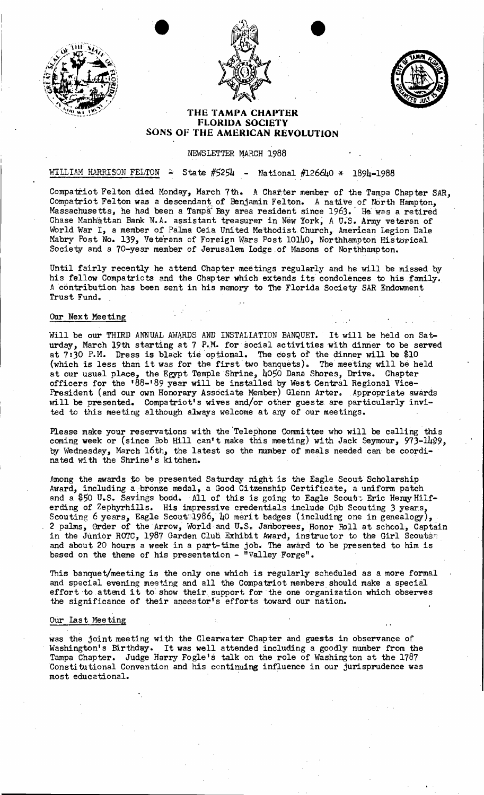



•



# **THE TAMPA CHAPTER FLORIDA SOCIETY SONS OF THE AMERICAN REVOLUTION**

## NEWSLETTER MARCH 1988

## WILLIAM HARRISON FELTON  $\approx$  State #5254 - National #126640 \* 1894-1988

Compatriot Felton died Monday, March 7th. A Charter member of the Tampa Chapter SAR, Compatriot Felton was a descendant of Benjamin Felton. A native of North Hampton, Massachusetts, he had been a Tampa Bay area resident since 1963. He was a retired Chase Manh'attan Bank N•.A. assistant treasurer in New York; A U~S. Army veteran of World War I, a member of Palma Ceia United Methodist Church, American Legion Dale Mabry Post No. 139, Veterans of Foreign Wars Post 10140, Northhampton Historical Society and a 70-year member of Jerusalem Lodge of Masons of Northhampton.

Until fairly recently he attend Chapter meetings regularly and he will be missed by his fellow Compatriots and the Chapter which extends its condolences to his family. *A* contribution has been sent in his memory to The Florida Society *BAR* Endowment Trust Fund...

## Our Next Meeting

Will be our THIRD ANNUAL AWARDS AND INSTALLATION BANQUET. It will be held on Saturday, March 19th starting at 7 P.M. for social activities with dinner to be served at  $7:30$  P.M. Dress is black tie optional. The cost of the dinner will be \$10 (which is less than it was for the first' two banquets). The meeting will be held at our usual place, the Egypt Temple Shrine, 4050 Dana Shores, Drive. Chapter officers for the '88-'89 year will be installed by West Central Regional Vice-President (and our own Honorary Associate Member) Glenn Arter. Appropriate awards will be presented. Compatriot's wives and/or other guests. are particularly invited to this meeting although always welcome at any of our meetings.

Please make your reservations with the 'Telephone Committee who will be calling this coming week or (since Bob Hill can't make this meeting) with Jack Seymour, 973-1429, by Wednesday, March 16th, the latest so the mumber of meals needed can be coordina ted wi th the Shrine's kitchen.

Among the awards to be presented Saturday night is the Eagle Scout Scholarship Award, including a bronze medal, a Good Citzenship Certificate, a uniform patch and a \$50 U.S. Savings bood. All of this is going to Eagle Scout: Eric Henry Hilferding of Zephyrhills. His impressive credentials include Cub Scouting 3 years, Scouting 6 years, Eagle Scout#1986, 40 merit badges (including one in genealogy), 2 palms, Order of the Arrow, World and U.S. Jamborees, Honor Roll at school, Captain in the Junior ROTC, 1987 Garden Club Exhibit Award, instructor to the Girl Scouts and about 20 hours a week in a part-time job. The award to be presented to him is based on the theme of his presentation - "Valley Forge".

This banquet/meeting is the only one which is regularly scheduled as a more formal and special evening meeting and all the Compatriot members should make a special. effort to attend it to show their support for the one organization which observes the significance of their aneestor"s efforts toward our nation.

#### OUr last Meeting

was the joint meeting with the Clearwater Chapter and guests in observance of Washington's Birthday. It was well attended including a goodly number from the Tampa Chapter. Judge Harry Fogle's talk on the role of Washington at the 1787 Constitutional Convention and his continuing influence in our jurisprudence was most educational. .